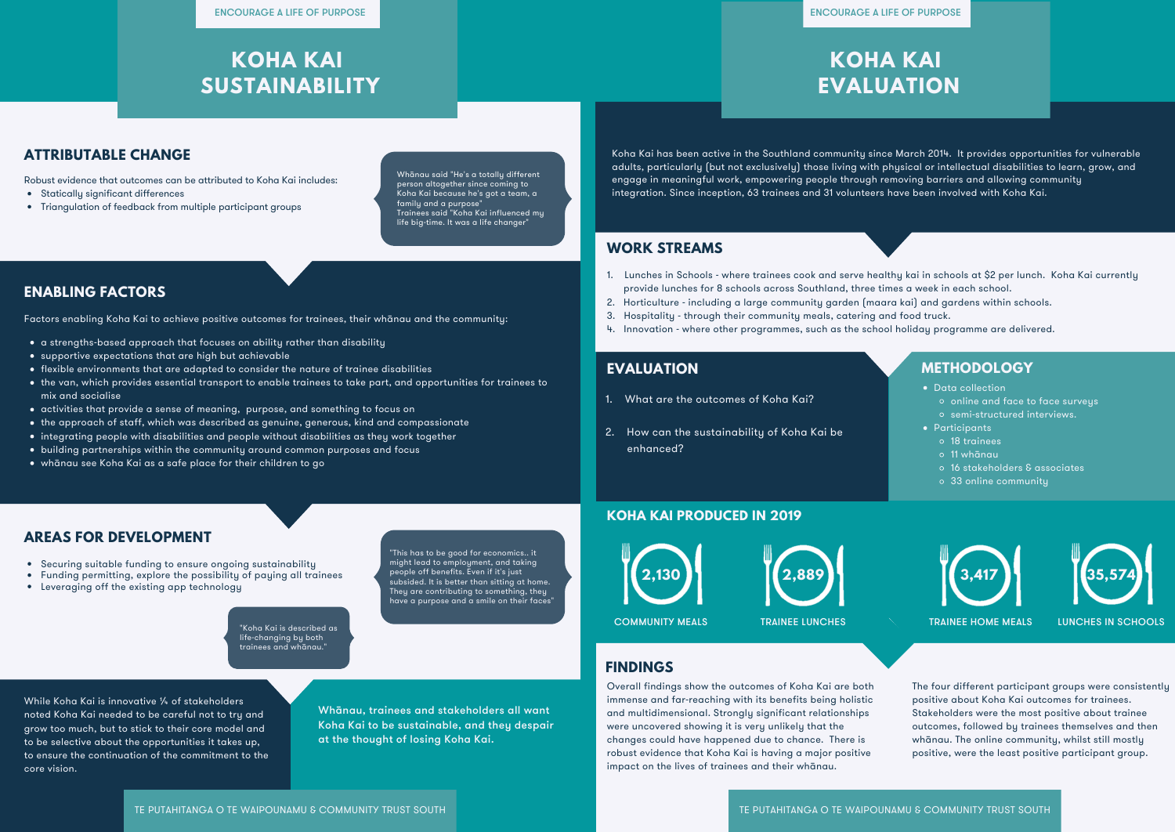



# **KOHA KAI**

# **EVALUATION**

Koha Kai has been active in the Southland community since March 2014. It provides opportunities for vulnerable adults, particularly (but not exclusively) those living with physical or intellectual disabilities to learn, grow, and engage in meaningful work, empowering people through removing barriers and allowing community integration. Since inception, 63 trainees and 31 volunteers have been involved with Koha Kai.

#### **EVALUATION METHODOLOGY**

**WORK STREAMS**

- 1. Lunches in Schools where trainees cook and serve healthy kai in schools at \$2 per lunch. Koha Kai currently provide lunches for 8 schools across Southland, three times a week in each school.
- 2. Horticulture including a large community garden (maara kai) and gardens within schools.
- 3. Hospitality through their community meals, catering and food truck.
- 4. Innovation where other programmes, such as the school holiday programme are delivered.

## **KOHA KAI SUSTAINABILITY**

- 1. What are the outcomes of Koha Kai?
- 2. How can the sustainability of Koha Kai be enhanced?
- Data collection
	- o online and face to face surveys
	- o semi-structured interviews.
- **•** Participants
	- 18 trainees
	- 11 whānau
	- 16 stakeholders & associates
	- 33 online community





#### **KOHA KAI PRODUCED IN 2019**

Overall findings show the outcomes of Koha Kai are both immense and far-reaching with its benefits being holistic and multidimensional. Strongly significant relationships were uncovered showing it is very unlikely that the changes could have happened due to chance. There is robust evidence that Koha Kai is having a major positive impact on the lives of trainees and their whānau.

### **FINDINGS**

While Koha Kai is innovative 1/4 of stakeholders noted Koha Kai needed to be careful not to try and grow too much, but to stick to their core model and to be selective about the opportunities it takes up, to ensure the continuation of the commitment to the core vision.

"This has to be good for economics.. it might lead to employment, and taking people off benefits. Even if it's just subsided. It is better than sitting at home. They are contributing to something, they have a purpose and a smile on their faces'

> The four different participant groups were consistently positive about Koha Kai outcomes for trainees. Stakeholders were the most positive about trainee outcomes, followed by trainees themselves and then whānau. The online community, whilst still mostly positive, were the least positive participant group.

- Statically significant differences
- Triangulation of feedback from multiple participant groups

Robust evidence that outcomes can be attributed to Koha Kai includes:

### **ENABLING FACTORS**

- a strengths-based approach that focuses on ability rather than disability
- supportive expectations that are high but achievable
- flexible environments that are adapted to consider the nature of trainee disabilities
- the van, which provides essential transport to enable trainees to take part, and opportunities for trainees to mix and socialise
- activities that provide a sense of meaning, purpose, and something to focus on
- the approach of staff, which was described as genuine, generous, kind and compassionate
- integrating people with disabilities and people without disabilities as they work together
- building partnerships within the community around common purposes and focus
- whānau see Koha Kai as a safe place for their children to go

Factors enabling Koha Kai to achieve positive outcomes for trainees, their whānau and the community:

"Koha Kai is described as life-changing by both trainees and whānau."

## **ATTRIBUTABLE CHANGE**

- Securing suitable funding to ensure ongoing sustainability
- Funding permitting, explore the possibility of paying all trainees
- Leveraging off the existing app technology

## **AREAS FOR DEVELOPMENT**

Whānau, trainees and stakeholders all want Koha Kai to be sustainable, and they despair at the thought of losing Koha Kai.

Whānau said "He's a totally different person altogether since coming to Koha Kai because he's got a team, a family and a purpose" Trainees said "Koha Kai influenced my life big-time. It was a life changer"